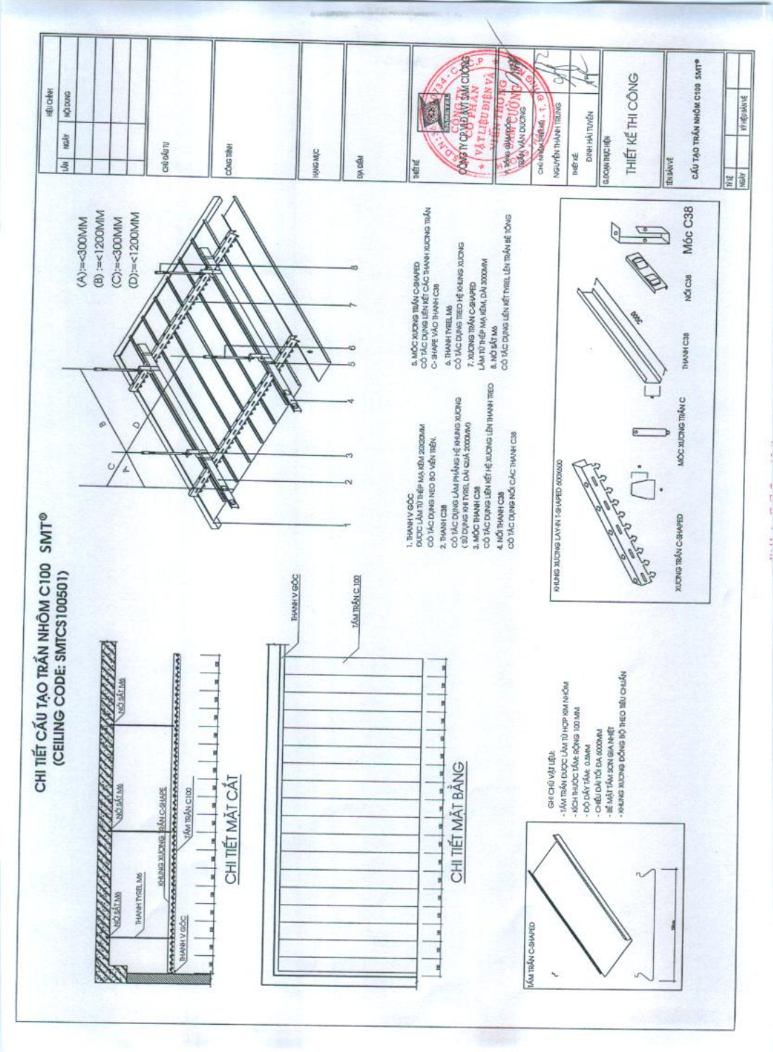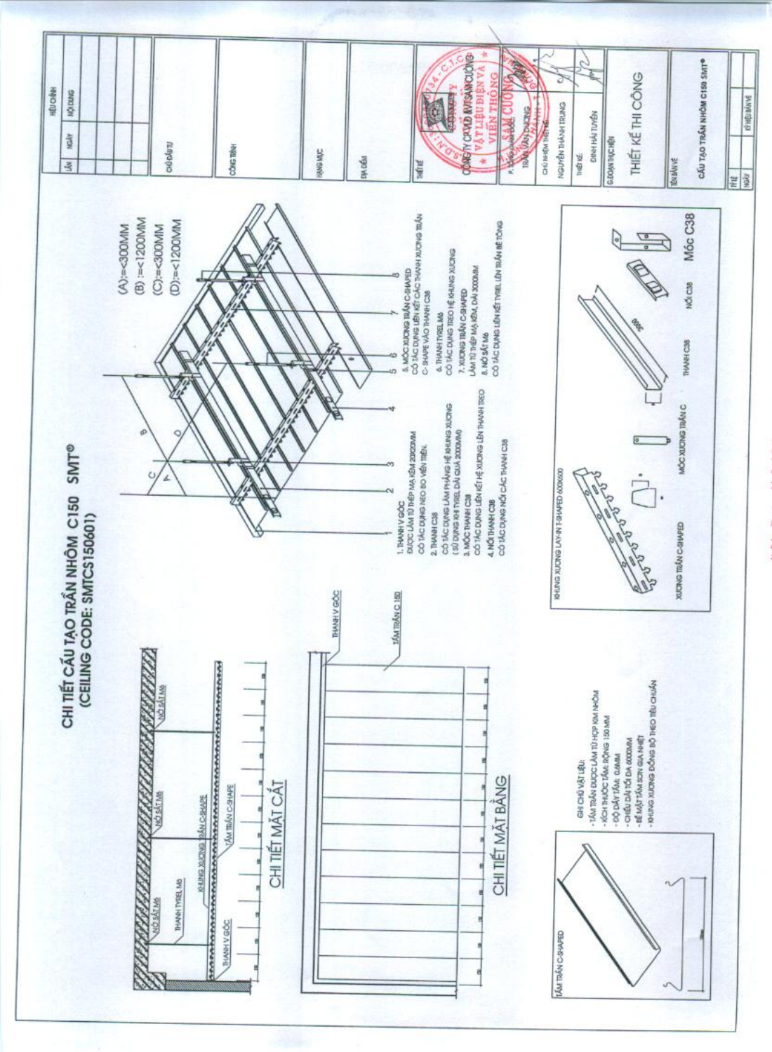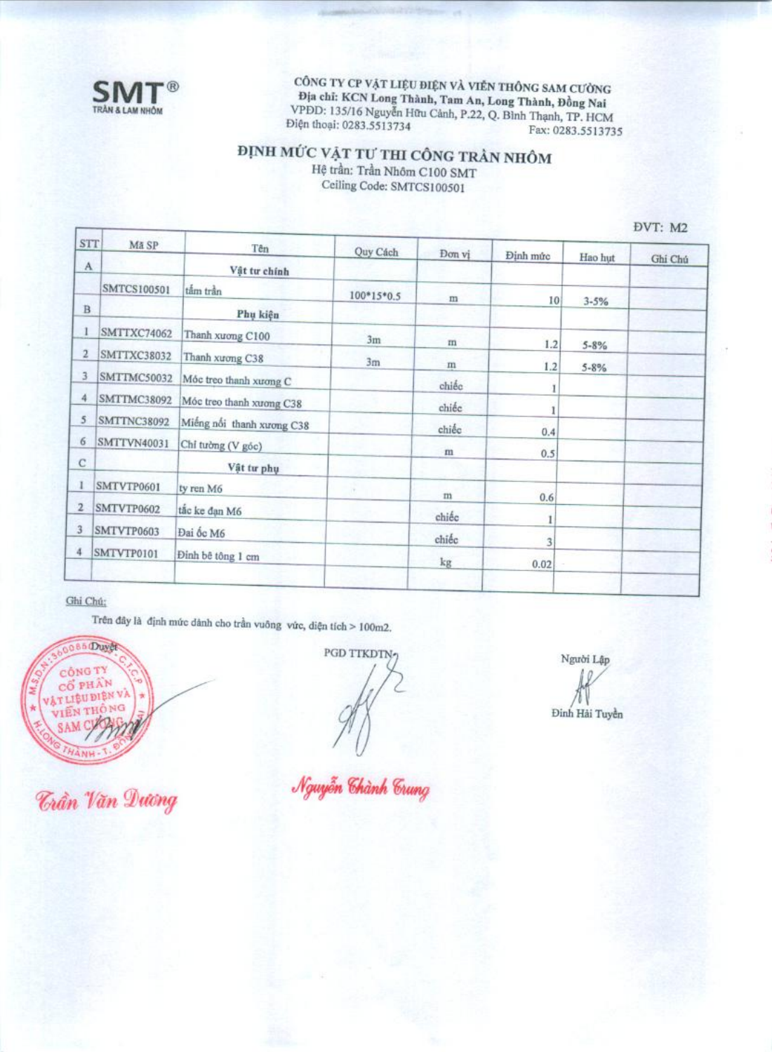

CÔNG TY CP VẬT LIỆU ĐIỆN VÀ VIỀN THÔNG SAM CƯỜNG Dia chỉ: KCN Long Thành, Tam An, Long Thành, Đồng Nai VPDD: 135/16 Nguyễn Hữu Cảnh, P.22, Q. Bình Thạnh, TP. HCM Điện thoại: 0283.5513734 Fax: 0283.5513735

### ĐỊNH MỨC VẬT TƯ THI CÔNG TRẦN NHÔM

Hệ trần: Trần Nhôm C100 SMT Ceiling Code: SMTCS100501

| <b>STT</b>  | Mã SP              | Tên                       | Quy Cách     | Đơn vị     |          |           |         |
|-------------|--------------------|---------------------------|--------------|------------|----------|-----------|---------|
| A           |                    | Vật tư chính              |              |            | Dinh mức | Hao hut   | Ghi Chú |
|             | SMTCS100501        | tâm trần                  | $100*15*0.5$ | m          | 10       |           |         |
| B           |                    | Phụ kiện                  |              |            |          | $3 - 5%$  |         |
|             | SMTTXC74062        | Thanh xương C100          | 3m           | $\rm{m}$   | 1.2      | $5 - 8\%$ |         |
| 2           | SMTTXC38032        | Thanh xương C38           | 3m           | m          | 1.2      | $5 - 8%$  |         |
| 3           | SMTTMC50032        | Móc treo thanh xương C    |              | chiếc      |          |           |         |
| 4           | SMTTMC38092        | Móc treo thanh xương C38  |              | chiée      |          |           |         |
| 5           | <b>SMTTNC38092</b> | Miếng nối thanh xương C38 |              | chiếc      | 0.4      |           |         |
| 6           | SMTTVN40031        | Chỉ tường (V góc)         |              | m          | 0.5      |           |         |
| $\mathbf C$ |                    | Vật tư phụ                |              |            |          |           |         |
|             | SMTVTP0601         | ty ren M6                 |              | $_{\rm m}$ | 0.6      |           |         |
| 2           | SMTVTP0602         | tắc ke đạn M6             |              | chiếc      | I        |           |         |
| 3           | SMTVTP0603         | Đai ốc M6                 |              | chiéc      | 3        |           |         |
|             | SMTVTP0101         | Đinh bê tông 1 cm         |              | kg         | 0.02     |           |         |
|             |                    |                           |              |            |          |           |         |

#### Ghi Chú:

Trên đây là định mức dânh cho trần vuông vức, diện tích > 100m2.

086 Duyet **CÔNG TY** CO PHÂN **VAT LIBU DIBN VA** VIÊN THỐ NG **SAM CI** 

*Taần Văn Dương* 

PGD TTKDTN-

Nguyễn Chành Trung

Người Lập

Đinh Hải Tuyền

DVT: M2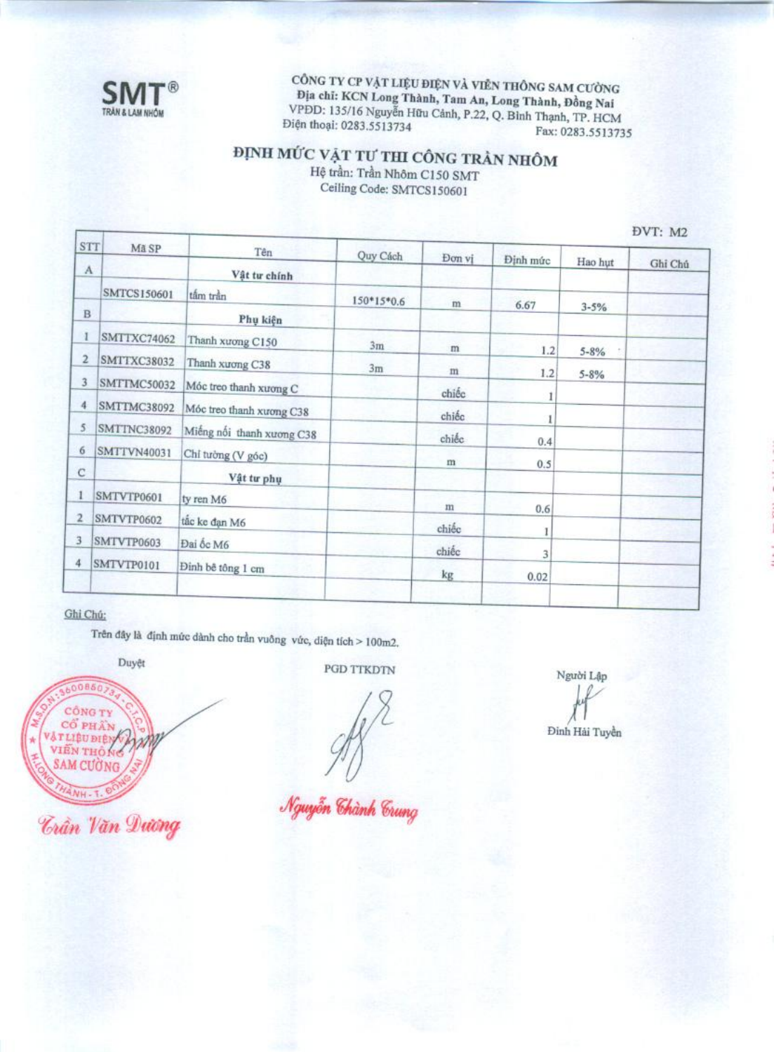

CÔNG TY CP VẬT LIỆU ĐIỆN VÀ VIỄN THỐNG SAM CƯỜNG Địa chỉ: KCN Long Thành, Tam An, Long Thành, Đồng Nai VPDD: 135/16 Nguyễn Hữu Cảnh, P.22, Q. Bình Thạnh, TP. HCM Điện thoại: 0283.5513734 Fax: 0283.5513735

## ĐỊNH MỨC VẬT TƯ THI CÔNG TRẦN NHÔM

Hệ trần: Trần Nhôm C150 SMT Ceiling Code: SMTCS150601

DVT. M2

| STT          | Mã SP              | Tên                       | Quy Cách   | Don vi     |          |                       | 17.11112 |
|--------------|--------------------|---------------------------|------------|------------|----------|-----------------------|----------|
| $\Lambda$    |                    | Vật tư chính              |            |            | Định mức | Hao hut               | Ghi Chú  |
|              | SMTCS150601        | tâm trần                  | 150*15*0.6 | m          | 6.67     |                       |          |
| $\, {\bf B}$ |                    | Phụ kiện                  |            |            |          | $3 - 5%$              |          |
|              | SMTTXC74062        | Thanh xương C150          | 3m         | m          | 1.2      |                       |          |
| 2            | <b>SMTTXC38032</b> | Thanh xuong C38           | 3m         | m          | 1.2      | $5 - 8%$<br>$5 - 8\%$ |          |
| 3            | SMTTMC50032        | Móc treo thanh xương C    |            | chiéc      |          |                       |          |
| 4            | <b>SMTTMC38092</b> | Móc treo thanh xương C38  |            | chiếc      | 1        |                       |          |
| 5            | <b>SMTTNC38092</b> | Miếng nối thanh xương C38 |            | chiếc      | 0.4      |                       |          |
| 6            | SMTTVN40031        | Chỉ tưởng (V góc)         |            | m          | 0.5      |                       |          |
| $\mathbf C$  |                    | Vật tư phụ                |            |            |          |                       |          |
|              | SMTVTP0601         | ty ren M6                 |            | $_{\rm m}$ | 0.6      |                       |          |
| 2            | SMTVTP0602         | tắc ke đạn M6             |            | chiếc      |          |                       |          |
| 3            | SMTVTP0603         | Đai ốc M6                 |            | chiếc      | 3        |                       |          |
| 4            | SMTVTP0101         | Đỉnh bê tông 1 cm         |            | kg         | 0.02     |                       |          |
|              |                    |                           |            |            |          |                       |          |

#### Ghi Chú:

Trên đây là định mức dành cho trần vuông vức, diện tích > 100m2.

Duyệt



*<u> Trần Văn Dương</u>* 

**PGD TTKDTN** 

Nguyễn Chành Crung

Người Lập

Đinh Hải Tuyền